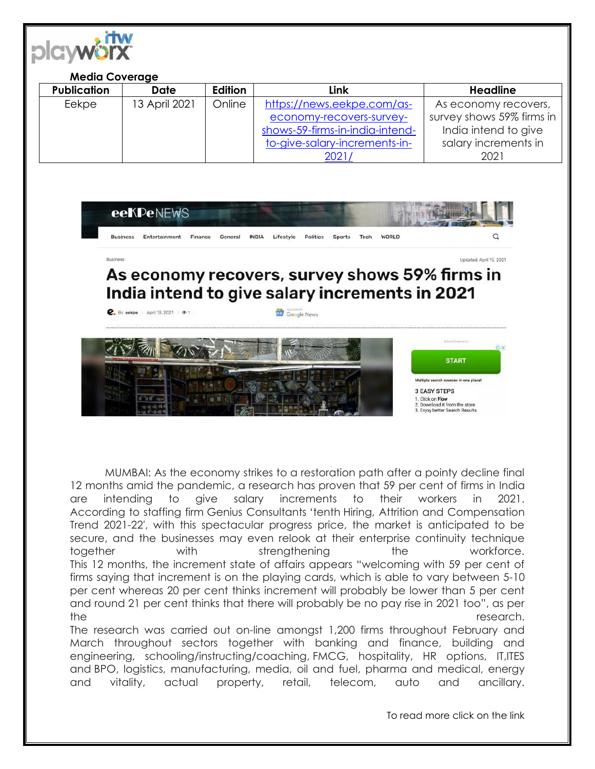

## **Media Coverage**

| <b>Publication</b> | <b>Date</b>   | Edition | Link                            | <b>Headline</b>           |
|--------------------|---------------|---------|---------------------------------|---------------------------|
| Eekpe              | 13 April 2021 | Online  | https://news.eekpe.com/as-      | As economy recovers,      |
|                    |               |         | economy-recovers-survey-        | survey shows 59% firms in |
|                    |               |         | shows-59-firms-in-india-intend- | India intend to give      |
|                    |               |         | to-give-salary-increments-in-   | salary increments in      |
|                    |               |         | 2021,                           | 2021                      |



MUMBAI: As the economy strikes to a restoration path after a pointy decline final 12 months amid the pandemic, a research has proven that 59 per cent of firms in India are intending to give salary increments to their workers in 2021. According to staffing firm Genius Consultants 'tenth Hiring, Attrition and Compensation Trend 2021-22′, with this spectacular progress price, the market is anticipated to be secure, and the businesses may even relook at their enterprise continuity technique together with strengthening the workforce. This 12 months, the increment state of affairs appears "welcoming with 59 per cent of firms saying that increment is on the playing cards, which is able to vary between 5-10 per cent whereas 20 per cent thinks increment will probably be lower than 5 per cent and round 21 per cent thinks that there will probably be no pay rise in 2021 too", as per the research. The research was carried out on-line amongst 1,200 firms throughout February and

March throughout sectors together with banking and finance, building and engineering, schooling/instructing/coaching, FMCG, hospitality, HR options, IT,ITES and BPO, logistics, manufacturing, media, oil and fuel, pharma and medical, energy and vitality, actual property, retail, telecom, auto and ancillary.

To read more click on the link